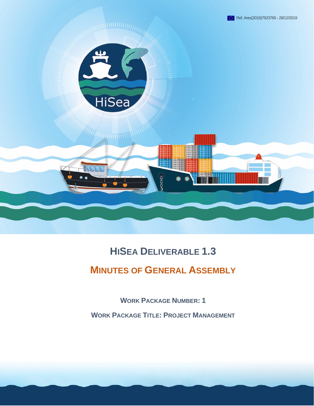

# **HISEA DELIVERABLE 1.3**

# **MINUTES OF GENERAL ASSEMBLY**

**WORK PACKAGE NUMBER: 1**

**WORK PACKAGE TITLE: PROJECT MANAGEMENT**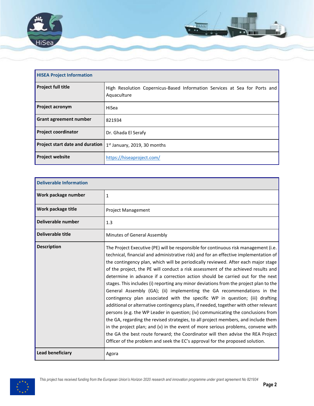

| <b>HISEA Project Information</b> |                                                                                           |  |  |  |
|----------------------------------|-------------------------------------------------------------------------------------------|--|--|--|
| <b>Project full title</b>        | High Resolution Copernicus-Based Information Services at Sea for Ports and<br>Aquaculture |  |  |  |
| Project acronym                  | HiSea                                                                                     |  |  |  |
| Grant agreement number           | 821934                                                                                    |  |  |  |
| <b>Project coordinator</b>       | Dr. Ghada El Serafy                                                                       |  |  |  |
| Project start date and duration  | $1st$ January, 2019, 30 months                                                            |  |  |  |
| <b>Project website</b>           | https://hiseaproject.com/                                                                 |  |  |  |

| <b>Deliverable Information</b> |                                                                                                                                                                                                                                                                                                                                                                                                                                                                                                                                                                                                                                                                                                                                                                                                                                                                                                                                                                                                                                                                                                                                                                                                                     |
|--------------------------------|---------------------------------------------------------------------------------------------------------------------------------------------------------------------------------------------------------------------------------------------------------------------------------------------------------------------------------------------------------------------------------------------------------------------------------------------------------------------------------------------------------------------------------------------------------------------------------------------------------------------------------------------------------------------------------------------------------------------------------------------------------------------------------------------------------------------------------------------------------------------------------------------------------------------------------------------------------------------------------------------------------------------------------------------------------------------------------------------------------------------------------------------------------------------------------------------------------------------|
| Work package number            | $\mathbf{1}$                                                                                                                                                                                                                                                                                                                                                                                                                                                                                                                                                                                                                                                                                                                                                                                                                                                                                                                                                                                                                                                                                                                                                                                                        |
| Work package title             | <b>Project Management</b>                                                                                                                                                                                                                                                                                                                                                                                                                                                                                                                                                                                                                                                                                                                                                                                                                                                                                                                                                                                                                                                                                                                                                                                           |
| Deliverable number             | 1.3                                                                                                                                                                                                                                                                                                                                                                                                                                                                                                                                                                                                                                                                                                                                                                                                                                                                                                                                                                                                                                                                                                                                                                                                                 |
| Deliverable title              | Minutes of General Assembly                                                                                                                                                                                                                                                                                                                                                                                                                                                                                                                                                                                                                                                                                                                                                                                                                                                                                                                                                                                                                                                                                                                                                                                         |
| <b>Description</b>             | The Project Executive (PE) will be responsible for continuous risk management (i.e.<br>technical, financial and administrative risk) and for an effective implementation of<br>the contingency plan, which will be periodically reviewed. After each major stage<br>of the project, the PE will conduct a risk assessment of the achieved results and<br>determine in advance if a correction action should be carried out for the next<br>stages. This includes (i) reporting any minor deviations from the project plan to the<br>General Assembly (GA); (ii) implementing the GA recommendations in the<br>contingency plan associated with the specific WP in question; (iii) drafting<br>additional or alternative contingency plans, if needed, together with other relevant<br>persons (e.g. the WP Leader in question; (iv) communicating the conclusions from<br>the GA, regarding the revised strategies, to all project members, and include them<br>in the project plan; and (v) in the event of more serious problems, convene with<br>the GA the best route forward; the Coordinator will then advise the REA Project<br>Officer of the problem and seek the EC's approval for the proposed solution. |
| <b>Lead beneficiary</b>        | Agora                                                                                                                                                                                                                                                                                                                                                                                                                                                                                                                                                                                                                                                                                                                                                                                                                                                                                                                                                                                                                                                                                                                                                                                                               |

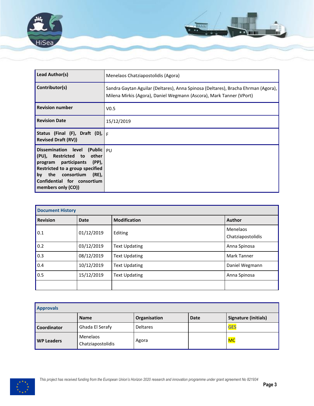

| Lead Author(s)                                                                                                                                                                                                     | Menelaos Chatziapostolidis (Agora)                                                                                                                       |
|--------------------------------------------------------------------------------------------------------------------------------------------------------------------------------------------------------------------|----------------------------------------------------------------------------------------------------------------------------------------------------------|
| Contributor(s)                                                                                                                                                                                                     | Sandra Gaytan Aguilar (Deltares), Anna Spinosa (Deltares), Bracha Ehrman (Agora),<br>Milena Mirkis (Agora), Daniel Wegmann (Ascora), Mark Tanner (VPort) |
| <b>Revision number</b>                                                                                                                                                                                             | V <sub>0.5</sub>                                                                                                                                         |
| <b>Revision Date</b>                                                                                                                                                                                               | 15/12/2019                                                                                                                                               |
| Status (Final (F), Draft (D), $ F $<br><b>Revised Draft (RV))</b>                                                                                                                                                  |                                                                                                                                                          |
| Dissemination level (Public PU<br>(PU), Restricted to other<br>program participants (PP),<br>Restricted to a group specified<br>by the consortium<br>$(RE)$ ,<br>Confidential for consortium<br>members only (CO)) |                                                                                                                                                          |

| <b>Document History</b> |             |                      |                               |
|-------------------------|-------------|----------------------|-------------------------------|
| <b>Revision</b>         | <b>Date</b> | <b>Modification</b>  | <b>Author</b>                 |
| 0.1                     | 01/12/2019  | Editing              | Menelaos<br>Chatziapostolidis |
| 0.2                     | 03/12/2019  | <b>Text Updating</b> | Anna Spinosa                  |
| 0.3                     | 08/12/2019  | <b>Text Updating</b> | Mark Tanner                   |
| 0.4                     | 10/12/2019  | <b>Text Updating</b> | Daniel Wegmann                |
| 0.5                     | 15/12/2019  | <b>Text Updating</b> | Anna Spinosa                  |
|                         |             |                      |                               |

| <b>Approvals</b>  |                               |                 |             |                      |
|-------------------|-------------------------------|-----------------|-------------|----------------------|
|                   | <b>Name</b>                   | Organisation    | <b>Date</b> | Signature (initials) |
| Coordinator       | Ghada El Serafy               | <b>Deltares</b> |             | <b>GES</b>           |
| <b>WP Leaders</b> | Menelaos<br>Chatziapostolidis | Agora           |             | <mark>MC</mark>      |

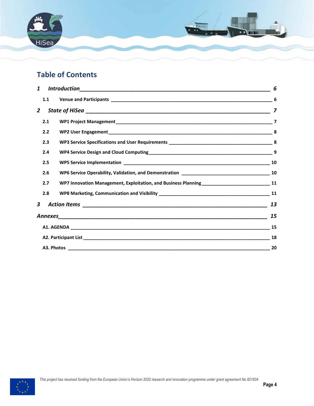

# **Table of Contents**

|                                                                                                         | 6  |
|---------------------------------------------------------------------------------------------------------|----|
| 1.1                                                                                                     |    |
|                                                                                                         |    |
| 2.1                                                                                                     |    |
| 2.2                                                                                                     |    |
| 2.3                                                                                                     |    |
| 2.4                                                                                                     |    |
| 2.5                                                                                                     |    |
| 2.6                                                                                                     |    |
| 2.7<br>WP7 Innovation Management, Exploitation, and Business Planning _______________________________11 |    |
| 2.8                                                                                                     |    |
|                                                                                                         | 13 |
|                                                                                                         | 15 |
|                                                                                                         | 15 |
|                                                                                                         | 18 |
|                                                                                                         | 20 |
|                                                                                                         |    |

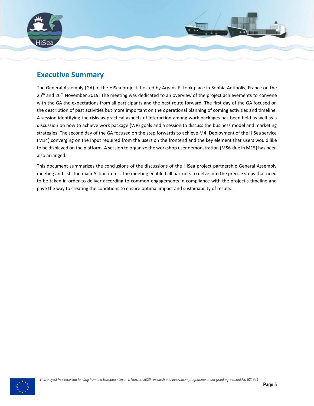

# **Executive Summary**

The General Assembly (GA) of the HiSea project, hosted by Argans-F, took place in Sophia Antipolis, France on the  $25<sup>th</sup>$  and  $26<sup>th</sup>$  November 2019. The meeting was dedicated to an overview of the project achievements to convene with the GA the expectations from all participants and the best route forward. The first day of the GA focused on the description of past activities but more important on the operational planning of coming activities and timeline. A session identifying the risks as practical aspects of interaction among work packages has been held as well as a discussion on how to achieve work package (WP) goals and a session to discuss the business model and marketing strategies. The second day of the GA focused on the step forwards to achieve M4: Deployment of the HiSea service (M14) converging on the input required from the users on the frontend and the key element that users would like to be displayed on the platform. A session to organize the workshop user demonstration (MS6-due in M15) has been also arranged.

This document summarizes the conclusions of the discussions of the HiSea project partnership General Assembly meeting and lists the main Action items. The meeting enabled all partners to delve into the precise steps that need to be taken in order to deliver according to common engagements in compliance with the project's timeline and pave the way to creating the conditions to ensure optimal impact and sustainability of results.

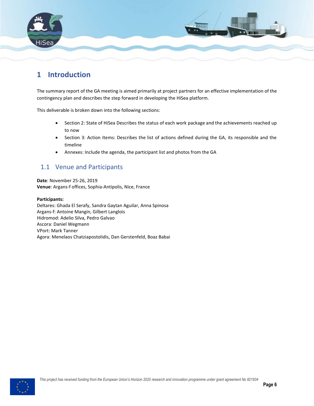

# <span id="page-5-0"></span>**1 Introduction**

The summary report of the GA meeting is aimed primarily at project partners for an effective implementation of the contingency plan and describes the step forward in developing the HiSea platform.

This deliverable is broken down into the following sections:

- Section 2: State of HiSea Describes the status of each work package and the achievements reached up to now
- Section 3: Action Items: Describes the list of actions defined during the GA, its responsible and the timeline
- Annexes: Include the agenda, the participant list and photos from the GA

### <span id="page-5-1"></span>1.1 Venue and Participants

**Date**: November 25-26, 2019 **Venue**: Argans-f offices, Sophia-Antipolis, Nice, France

#### **Participants:**

Deltares: Ghada El Serafy, Sandra Gaytan Aguilar, Anna Spinosa Argans-f: Antoine Mangin, Gilbert Langlois Hidromod: Adelio Silva, Pedro Galvao Ascora: Daniel Wegmann VPort: Mark Tanner Agora: Menelaos Chatziapostolidis, Dan Gerstenfeld, Boaz Babai

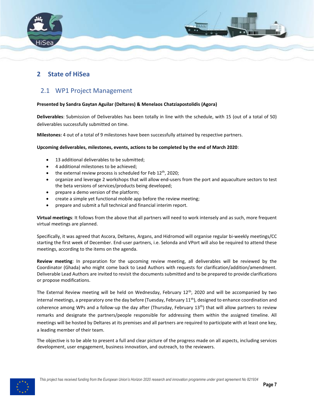

### <span id="page-6-0"></span>**2 State of HiSea**

### <span id="page-6-1"></span>2.1 WP1 Project Management

#### **Presented by Sandra Gaytan Aguilar (Deltares) & Menelaos Chatziapostolidis (Agora)**

**Deliverables**: Submission of Deliverables has been totally in line with the schedule, with 15 (out of a total of 50) deliverables successfully submitted on time.

**Milestones:** 4 out of a total of 9 milestones have been successfully attained by respective partners.

#### **Upcoming deliverables, milestones, events, actions to be completed by the end of March 2020**:

- 13 additional deliverables to be submitted;
- 4 additional milestones to be achieved;
- the external review process is scheduled for Feb  $12<sup>th</sup>$ , 2020;
- organize and leverage 2 workshops that will allow end-users from the port and aquaculture sectors to test the beta versions of services/products being developed;
- prepare a demo version of the platform;
- create a simple yet functional mobile app before the review meeting;
- prepare and submit a full technical and financial interim report.

**Virtual meetings**: It follows from the above that all partners will need to work intensely and as such, more frequent virtual meetings are planned.

Specifically, it was agreed that Ascora, Deltares, Argans, and Hidromod will organise regular bi-weekly meetings/CC starting the first week of December. End-user partners, i.e. Selonda and VPort will also be required to attend these meetings, according to the items on the agenda.

**Review meeting**: In preparation for the upcoming review meeting, all deliverables will be reviewed by the Coordinator (Ghada) who might come back to Lead Authors with requests for clarification/addition/amendment. Deliverable Lead Authors are invited to revisit the documents submitted and to be prepared to provide clarifications or propose modifications.

The External Review meeting will be held on Wednesday, February  $12<sup>th</sup>$ , 2020 and will be accompanied by two internal meetings, a preparatory one the day before (Tuesday, February  $11^{th}$ ), designed to enhance coordination and coherence among WPs and a follow-up the day after (Thursday, February  $13<sup>th</sup>$ ) that will allow partners to review remarks and designate the partners/people responsible for addressing them within the assigned timeline. All meetings will be hosted by Deltares at its premises and all partners are required to participate with at least one key, a leading member of their team.

The objective is to be able to present a full and clear picture of the progress made on all aspects, including services development, user engagement, business innovation, and outreach, to the reviewers.

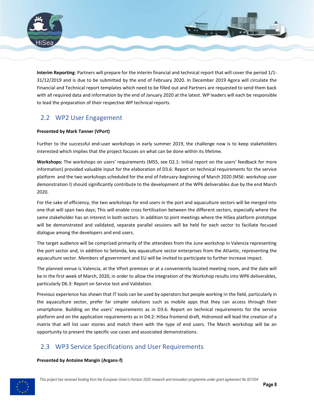

**Interim Reporting**: Partners will prepare for the interim financial and technical report that will cover the period 1/1- 31/12/2019 and is due to be submitted by the end of February 2020. In December 2019 Agora will circulate the Financial and Technical report templates which need to be filled out and Partners are requested to send them back with all required data and information by the end of January 2020 at the latest. WP leaders will each be responsible to lead the preparation of their respective WP technical reports.

# <span id="page-7-0"></span>2.2 WP2 User Engagement

#### **Presented by Mark Tanner (VPort)**

Further to the successful end-user workshops in early summer 2019, the challenge now is to keep stakeholders interested which implies that the project focuses on what can be done within its lifetime.

**Workshops:** The workshops on users' requirements (MS5, see D2.1: Initial report on the users' feedback for more information) provided valuable input for the elaboration of D3.6: Report on technical requirements for the service platform and the two workshops scheduled for the end of February-beginning of March 2020 (MS6: workshop user demonstration I) should significantly contribute to the development of the WP6 deliverables due by the end March 2020.

For the sake of efficiency, the two workshops for end users in the port and aquaculture sectors will be merged into one that will span two days; This will enable cross fertilisation between the different sectors, especially where the same stakeholder has an interest in both sectors. In addition to joint meetings where the HiSea platform prototype will be demonstrated and validated, separate parallel sessions will be held for each sector to faciliate focused dialogue among the developers and end users.

The target audience will be comprised primarily of the attendees from the June workshop in Valencia representing the port sector and, in addition to Selonda, key aquaculture sector enterprises from the Atlantic, representing the aquaculture sector. Members of government and EU will be invited to participate to further increase impact.

The planned venue is Valencia, at the VPort premises or at a conveniently located meeting room, and the date will be in the first week of March, 2020, in order to allow the integration of the Workshop results into WP6 deliverables, particularly D6.3: Report on Service test and Validation.

Previous experience has shown that IT tools can be used by operators but people working in the field, particularly in the aquaculture sector, prefer far simpler solutions such as mobile apps that they can access through their smartphone. Building on the users' requirements as in D3.6: Report on technical requirements for the service platform and on the application requirements as in D4.2: HiSea frontend draft, Hidromod will lead the creation of a matrix that will list user stories and match them with the type of end users. The March workshop will be an opportunity to present the specific use cases and associated demonstrations.

# <span id="page-7-1"></span>2.3 WP3 Service Specifications and User Requirements

#### **Presented by Antoine Mangin (Argans-f)**

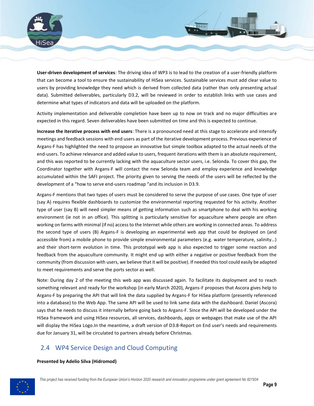

**User-driven development of services**: The driving idea of WP3 is to lead to the creation of a user-friendly platform that can become a tool to ensure the sustainability of HiSea services. Sustainable services must add clear value to users by providing knowledge they need which is derived from collected data (rather than only presenting actual data). Submitted deliverables, particularly D3.2, will be reviewed in order to establish links with use cases and determine what types of indicators and data will be uploaded on the platform.

Activity implementation and deliverable completion have been up to now on track and no major difficulties are expected in this regard. Seven deliverables have been submitted on time and this is expected to continue.

**Increase the iterative process with end users**: There is a pronounced need at this stage to accelerate and intensify meetings and feedback sessions with end users as part of the iterative development process. Previous experience of Argans-F has highlighted the need to propose an innovative but simple toolbox adapted to the actual needs of the end-users. To achieve relevance and added value to users, frequent iterations with them is an absolute requirement, and this was reported to be currently lacking with the aquaculture sector users, i.e. Selonda. To cover this gap, the Coordinator together with Argans-F will contact the new Selonda team and employ experience and knowledge accumulated within the SAFI project. The priority given to serving the needs of the users will be reflected by the development of a "how to serve end-users roadmap "and its inclusion in D3.9.

Argans-F mentions that two types of users must be considered to serve the purpose of use cases. One type of user (say A) requires flexible dashboards to customize the environmental reporting requested for his activity. Another type of user (say B) will need simpler means of getting information such as smartphone to deal with his working environment (ie not in an office). This splitting is particularly sensitive for aquaculture where people are often working on farms with minimal (if no) access to the Internet while others are working in connected areas. To address the second type of users (B) Argans-F is developing an experimental web app that could be deployed on (and accessible from) a mobile phone to provide simple environmental parameters (e.g. water temperature, salinity…) and their short-term evolution in time. This prototypal web app is also expected to trigger some reaction and feedback from the aquaculture community. It might end up with either a negative or positive feedback from the community (from discussion with users, we believe that it will be positive). If needed this tool could easily be adapted to meet requirements and serve the ports sector as well.

Note: During day 2 of the meeting this web app was discussed again. To facilitate its deployment and to reach something relevant and ready for the workshop (in early March 2020), Argans-F proposes that Ascora gives help to Argans-F by preparing the API that will link the data supplied by Argans-F for HiSea platform (presently referenced into a database) to the Web App. The same API will be used to link same data with the dashboard. Daniel (Ascora) says that he needs to discuss it internally before going back to Argans-F. Since the API will be developed under the HiSea framework and using HiSea resources, all services, dashboards, apps or webpages that make use of the API will display the HiSea Logo.In the meantime, a draft version of D3.8-Report on End user's needs and requirements due for January 31, will be circulated to partners already before Christmas.

# <span id="page-8-0"></span>2.4 WP4 Service Design and Cloud Computing

#### **Presented by Adelio Silva (Hidromod)**

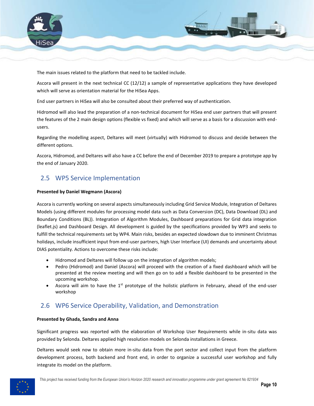

The main issues related to the platform that need to be tackled include.

Ascora will present in the next technical CC (12/12) a sample of representative applications they have developed which will serve as orientation material for the HiSea Apps.

End user partners in HiSea will also be consulted about their preferred way of authentication.

Hidromod will also lead the preparation of a non-technical document for HiSea end user partners that will present the features of the 2 main design options (flexible vs fixed) and which will serve as a basis for a discussion with endusers.

Regarding the modelling aspect, Deltares will meet (virtually) with Hidromod to discuss and decide between the different options.

Ascora, Hidromod, and Deltares will also have a CC before the end of December 2019 to prepare a prototype app by the end of January 2020.

### <span id="page-9-0"></span>2.5 WP5 Service Implementation

#### **Presented by Daniel Wegmann (Ascora)**

Ascora is currently working on several aspects simultaneously including Grid Service Module, Integration of Deltares Models (using different modules for processing model data such as Data Conversion (DC), Data Download (DL) and Boundary Conditions (BL)). Integration of Algorithm Modules, Dashboard preparations for Grid data integration (leaflet.js) and Dashboard Design. All development is guided by the specifications provided by WP3 and seeks to fulfill the technical requirements set by WP4. Main risks, besides an expected slowdown due to imminent Christmas holidays, include insufficient input from end-user partners, high User Interface (UI) demands and uncertainty about DIAS potentiality. Actions to overcome these risks include:

- Hidromod and Deltares will follow up on the integration of algorithm models;
- Pedro (Hidromod) and Daniel (Ascora) will proceed with the creation of a fixed dashboard which will be presented at the review meeting and will then go on to add a flexible dashboard to be presented in the upcoming workshop.
- Ascora will aim to have the  $1<sup>st</sup>$  prototype of the holistic platform in February, ahead of the end-user workshop

### <span id="page-9-1"></span>2.6 WP6 Service Operability, Validation, and Demonstration

#### **Presented by Ghada, Sandra and Anna**

Significant progress was reported with the elaboration of Workshop User Requirements while in-situ data was provided by Selonda. Deltares applied high resolution models on Selonda installations in Greece.

Deltares would seek now to obtain more in-situ data from the port sector and collect input from the platform development process, both backend and front end, in order to organize a successful user workshop and fully integrate its model on the platform.

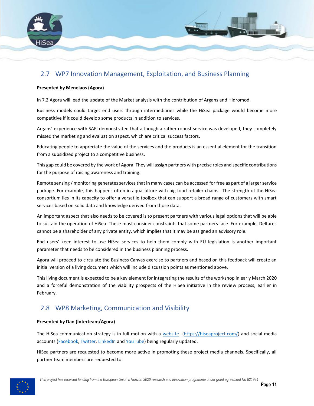

## <span id="page-10-0"></span>2.7 WP7 Innovation Management, Exploitation, and Business Planning

#### **Presented by Menelaos (Agora)**

In 7.2 Agora will lead the update of the Market analysis with the contribution of Argans and Hidromod.

Business models could target end users through intermediaries while the HiSea package would become more competitive if it could develop some products in addition to services.

Argans' experience with SAFI demonstrated that although a rather robust service was developed, they completely missed the marketing and evaluation aspect, which are critical success factors.

Educating people to appreciate the value of the services and the products is an essential element for the transition from a subsidized project to a competitive business.

This gap could be covered by the work of Agora. They will assign partners with precise roles and specific contributions for the purpose of raising awareness and training.

Remote sensing / monitoring generates services that in many cases can be accessed for free as part of a larger service package. For example, this happens often in aquaculture with big food retailer chains. The strength of the HiSea consortium lies in its capacity to offer a versatile toolbox that can support a broad range of customers with smart services based on solid data and knowledge derived from those data.

An important aspect that also needs to be covered is to present partners with various legal options that will be able to sustain the operation of HiSea. These must consider constraints that some partners face. For example, Deltares cannot be a shareholder of any private entity, which implies that it may be assigned an advisory role.

End users' keen interest to use HiSea services to help them comply with EU legislation is another important parameter that needs to be considered in the business planning process.

Agora will proceed to circulate the Business Canvas exercise to partners and based on this feedback will create an initial version of a living document which will include discussion points as mentioned above.

This living document is expected to be a key element for integrating the results of the workshop in early March 2020 and a forceful demonstration of the viability prospects of the HiSea initiative in the review process, earlier in February.

# <span id="page-10-1"></span>2.8 WP8 Marketing, Communication and Visibility

#### **Presented by Dan (Interteam/Agora)**

The HiSea communication strategy is in full motion with a [website](https://hiseaproject.com/news-events/press-releases/) [\(https://hiseaproject.com/\)](https://hiseaproject.com/) and social media accounts [\(Facebook,](https://www.facebook.com/HiSeaProject) [Twitter,](https://twitter.com/HiSeaProject) [LinkedIn](https://www.linkedin.com/company/13034800/admin/) an[d YouTube\)](https://www.youtube.com/channel/UCCJ67sBZ2iznnV16tlC8zUQ) being regularly updated.

HiSea partners are requested to become more active in promoting these project media channels. Specifically, all partner team members are requested to:

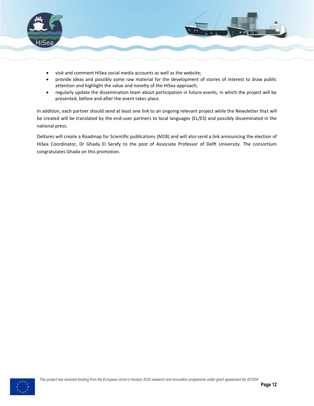

- visit and comment HiSea social media accounts as well as the website;
- provide ideas and possibly some raw material for the development of stories of interest to draw public attention and highlight the value and novelty of the HiSea approach;
- regularly update the dissemination team about participation in future events, in which the project will be presented, before and after the event takes place.

In addition, each partner should send at least one link to an ongoing relevant project while the Newsletter that will be created will be translated by the end-user partners to local languages (EL/ES) and possibly disseminated in the national press.

Deltares will create a Roadmap for Scientific publications (M28) and will also send a link announcing the election of HiSea Coordinator, Dr Ghada El Serafy to the post of Associate Professor of Delft University. The consortium congratulates Ghada on this promotion.

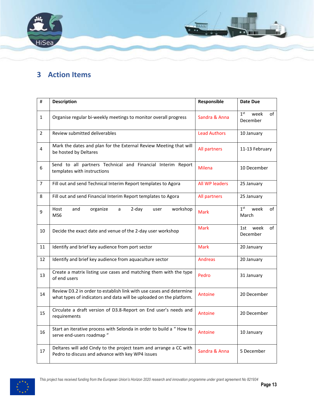

# <span id="page-12-0"></span>**3 Action Items**

| #              | <b>Description</b>                                                                                                                         | Responsible         | Date Due                                  |
|----------------|--------------------------------------------------------------------------------------------------------------------------------------------|---------------------|-------------------------------------------|
| $\mathbf{1}$   | Organise regular bi-weekly meetings to monitor overall progress                                                                            | Sandra & Anna       | 1 <sup>st</sup><br>week<br>of<br>December |
| $\overline{2}$ | Review submitted deliverables                                                                                                              | <b>Lead Authors</b> | 10 January                                |
| 4              | Mark the dates and plan for the External Review Meeting that will<br>be hosted by Deltares                                                 | All partners        | 11-13 February                            |
| 6              | Send to all partners Technical and Financial Interim Report<br>templates with instructions                                                 | <b>Milena</b>       | 10 December                               |
| $\overline{7}$ | Fill out and send Technical Interim Report templates to Agora                                                                              | All WP leaders      | 25 January                                |
| 8              | Fill out and send Financial Interim Report templates to Agora                                                                              | All partners        | 25 January                                |
| 9              | and<br>$2-day$<br>workshop<br>Host<br>organize<br>a<br>user<br>MS6                                                                         | <b>Mark</b>         | 1 <sup>st</sup><br>week<br>of<br>March    |
| 10             | Decide the exact date and venue of the 2-day user workshop                                                                                 | <b>Mark</b>         | week<br>1st<br>of<br>December             |
| 11             | Identify and brief key audience from port sector                                                                                           | <b>Mark</b>         | 20 January                                |
| 12             | Identify and brief key audience from aquaculture sector                                                                                    | <b>Andreas</b>      | 20 January                                |
| 13             | Create a matrix listing use cases and matching them with the type<br>of end users                                                          | Pedro               | 31 January                                |
| 14             | Review D3.2 in order to establish link with use cases and determine<br>what types of indicators and data will be uploaded on the platform. | Antoine             | 20 December                               |
| 15             | Circulate a draft version of D3.8-Report on End user's needs and<br>requirements                                                           | Antoine             | 20 December                               |
| 16             | Start an iterative process with Selonda in order to build a "How to<br>serve end-users roadmap "                                           | Antoine             | 10 January                                |
| 17             | Deltares will add Cindy to the project team and arrange a CC with<br>Pedro to discuss and advance with key WP4 issues                      | Sandra & Anna       | 5 December                                |

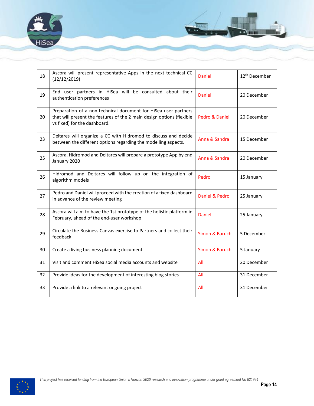



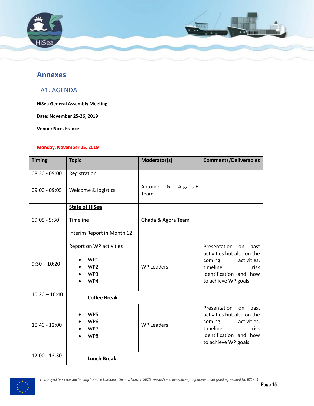

### <span id="page-14-0"></span>**Annexes**

### <span id="page-14-1"></span>A1. AGENDA

**HiSea General Assembly Meeting**

**Date: November 25-26, 2019**

**Venue: Nice, France**

#### **Monday, November 25, 2019**

| <b>Timing</b>   | <b>Topic</b>                                                    | Moderator(s)                     | <b>Comments/Deliverables</b>                                                                                                                            |
|-----------------|-----------------------------------------------------------------|----------------------------------|---------------------------------------------------------------------------------------------------------------------------------------------------------|
| $08:30 - 09:00$ | Registration                                                    |                                  |                                                                                                                                                         |
| $09:00 - 09:05$ | Welcome & logistics                                             | &<br>Antoine<br>Argans-F<br>Team |                                                                                                                                                         |
|                 | <b>State of HiSea</b>                                           |                                  |                                                                                                                                                         |
| $09:05 - 9:30$  | Timeline                                                        | Ghada & Agora Team               |                                                                                                                                                         |
|                 | Interim Report in Month 12                                      |                                  |                                                                                                                                                         |
| $9:30 - 10:20$  | Report on WP activities<br>WP1<br>WP <sub>2</sub><br>WP3<br>WP4 | <b>WP Leaders</b>                | Presentation<br>on<br>past<br>activities but also on the<br>activities,<br>coming<br>timeline,<br>risk<br>identification and how<br>to achieve WP goals |
| $10:20 - 10:40$ | <b>Coffee Break</b>                                             |                                  |                                                                                                                                                         |
| $10:40 - 12:00$ | WP5<br>WP <sub>6</sub><br>WP7<br>WP8                            | <b>WP Leaders</b>                | Presentation<br>on<br>past<br>activities but also on the<br>coming<br>activities,<br>timeline,<br>risk<br>identification and how<br>to achieve WP goals |
| 12:00 - 13:30   | <b>Lunch Break</b>                                              |                                  |                                                                                                                                                         |

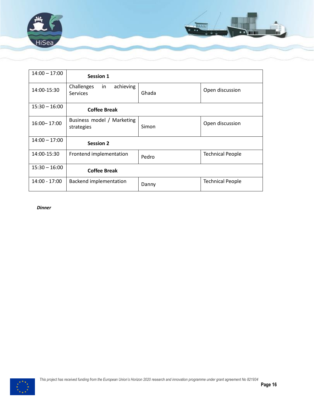

| $14:00 - 17:00$ | <b>Session 1</b>                                 |       |                         |
|-----------------|--------------------------------------------------|-------|-------------------------|
| 14:00-15:30     | Challenges<br>achieving<br>in<br><b>Services</b> | Ghada | Open discussion         |
| $15:30 - 16:00$ | <b>Coffee Break</b>                              |       |                         |
| 16:00 - 17:00   | Business model / Marketing<br>strategies         | Simon | Open discussion         |
| $14:00 - 17:00$ | <b>Session 2</b>                                 |       |                         |
| 14:00-15:30     | Frontend implementation                          | Pedro | <b>Technical People</b> |
| $15:30 - 16:00$ | <b>Coffee Break</b>                              |       |                         |
| 14:00 - 17:00   | Backend implementation                           | Danny | <b>Technical People</b> |

*Dinner*

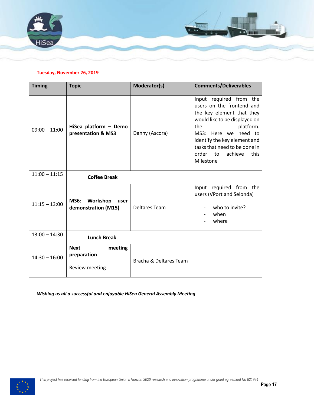

#### **Tuesday, November 26, 2019**

| <b>Timing</b>   | <b>Topic</b>                                            | Moderator(s)           | <b>Comments/Deliverables</b>                                                                                                                                                                                                                                                |
|-----------------|---------------------------------------------------------|------------------------|-----------------------------------------------------------------------------------------------------------------------------------------------------------------------------------------------------------------------------------------------------------------------------|
| $09:00 - 11:00$ | HiSea platform - Demo<br>presentation & MS3             | Danny (Ascora)         | Input required from the<br>users on the frontend and<br>the key element that they<br>would like to be displayed on<br>platform.<br>the<br>MS3: Here we need to<br>identify the key element and<br>tasks that need to be done in<br>this<br>order to<br>achieve<br>Milestone |
| $11:00 - 11:15$ | <b>Coffee Break</b>                                     |                        |                                                                                                                                                                                                                                                                             |
| $11:15 - 13:00$ | <b>MS6:</b><br>Workshop<br>user<br>demonstration (M15)  | Deltares Team          | Input required from the<br>users (VPort and Selonda)<br>who to invite?<br>when<br>where                                                                                                                                                                                     |
| $13:00 - 14:30$ | <b>Lunch Break</b>                                      |                        |                                                                                                                                                                                                                                                                             |
| $14:30 - 16:00$ | <b>Next</b><br>meeting<br>preparation<br>Review meeting | Bracha & Deltares Team |                                                                                                                                                                                                                                                                             |

*Wishing us all a successful and enjoyable HiSea General Assembly Meeting*

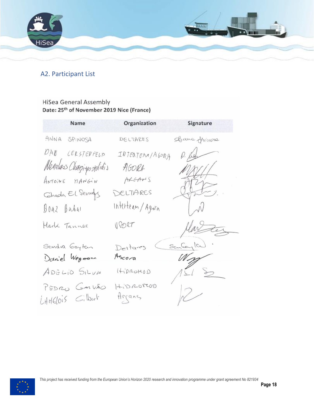

# <span id="page-17-0"></span>A2. Participant List

## **HiSea General Assembly** Date: 25<sup>th</sup> of November 2019 Nice (France)

| Name                               | Organization       | Signature        |
|------------------------------------|--------------------|------------------|
| ANNA SPINOSA                       | DELTARES           | Banc Juicione    |
| DAN CERSTENFELD                    | INTERTEAM/AGORA    | $\rho.$ fugh     |
| Menelas Charpigos stolidis         | AGORA              | $M\lll$          |
| ANTOINE MANGIN                     | ARGANS             |                  |
| Ghada El Sevagy                    | DELTARES           | $\sum_{i=1}^{n}$ |
| Boaz Baba1                         | Interteam/Agora    |                  |
| Mark Tannes                        | VPORT              | Marter           |
| Sandra Gaytan                      | Deltares           | Santagla).       |
| Daniel Wegmann                     | Ascora             |                  |
| ADELIO SILVA                       | 400000             | $121$ $2$        |
| PEDRO GAIVÃO<br>$LHHdois$ $Gilark$ | 40000000<br>Arcans | R                |

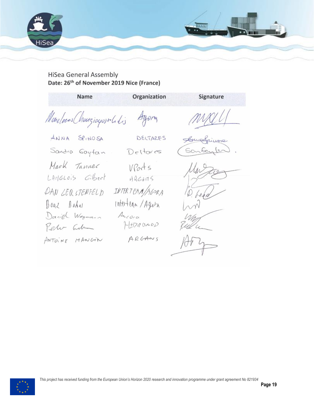

# HiSea General Assembly Date: 26<sup>th</sup> of November 2019 Nice (France)

| Name                                                                                              | Organization                                                                     | Signature                 |
|---------------------------------------------------------------------------------------------------|----------------------------------------------------------------------------------|---------------------------|
| Meneloses Chauziagos solidis                                                                      | Ayong                                                                            | MALLI                     |
| ANNA SPINOSA                                                                                      | DELTARES                                                                         | Compfrimere               |
| Sandra Gayfan                                                                                     | Deltares                                                                         | Santantes.                |
| Mark Tanner<br>LAMGLOIS Gibert<br>DAN LER STENFELD<br>Boaz Babal<br>Daniel Wegmann<br>Peter admin | VPorts<br>A Q G A H S<br>INTERTEAM/AGORA<br>Intertean/Agora<br>Acora<br>HEDRONOD | Martie<br>6.600<br>$\sim$ |
| ANTUINE MANGIN                                                                                    | ARGANS                                                                           | H4                        |